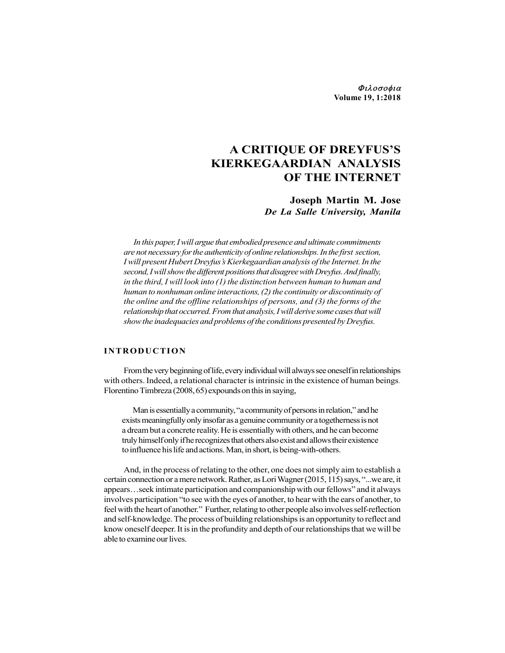Φιλοσοφια Volume 19, 1:2018

# A CRITIQUE OF DREYFUS'S KIERKEGAARDIAN ANALYSIS OF THE INTERNET

## Joseph Martin M. Jose De La Salle University, Manila

In this paper, I will argue that embodied presence and ultimate commitments are not necessary for the authenticity of online relationships. In the first section, I will present Hubert Dreyfus's Kierkegaardian analysis of the Internet. In the second, I will show the different positions that disagree with Dreyfus. And finally, in the third, I will look into (1) the distinction between human to human and human to nonhuman online interactions, (2) the continuity or discontinuity of the online and the offline relationships of persons, and (3) the forms of the relationship that occurred. From that analysis, I will derive some cases that will show the inadequacies and problems of the conditions presented by Dreyfus. **A CRITIQUE OF DREYFUS'S**<br> **KIERKEGAARDIAN ANALYSIS**<br> **CF THE INTERNET**<br> **ISON DET AND ANALYSIS**<br> **ISON DET AND ANALYSIS**<br> **DETERNET**<br> **ISON DET AND ANALYSIS**<br> **DETERNET**<br> **ISON DESCATE AND ANALYSIS**<br> *In this paper, I wi* 

From the very beginning of life, every individual will always see oneself in relationships with others. Indeed, a relational character is intrinsic in the existence of human beings. Florentino Timbreza (2008, 65) expounds on this in saying,

Man is essentially a community, "a community of persons in relation," and he exists meaningfully only insofar as a genuine community or a togetherness is not a dream but a concrete reality. He is essentially with others, and he can become truly himself only if he recognizes that others also exist and allows their existence to influence his life and actions. Man, in short, is being-with-others.

And, in the process of relating to the other, one does not simply aim to establish a certain connection or a mere network. Rather, as Lori Wagner (2015, 115) says, "...we are, it appears…seek intimate participation and companionship with our fellows" and it always involves participation "to see with the eyes of another, to hear with the ears of another, to feel with the heart of another." Further, relating to other people also involves self-reflection and self-knowledge. The process of building relationships is an opportunity to reflect and know oneself deeper. It is in the profundity and depth of our relationships that we will be able to examine our lives.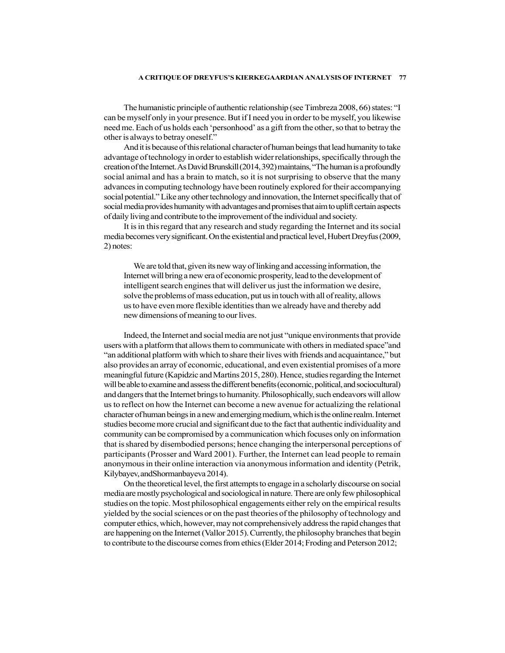The humanistic principle of authentic relationship (see Timbreza 2008, 66) states: "I can be myself only in your presence. But if I need you in order to be myself, you likewise need me. Each of us holds each 'personhood' as a gift from the other, so that to betray the other is always to betray oneself."

And it is because of this relational character of human beings that lead humanity to take advantage of technology in order to establish wider relationships, specifically through the creation of the Internet. As David Brunskill (2014, 392) maintains, "The human is a profoundly social animal and has a brain to match, so it is not surprising to observe that the many advances in computing technology have been routinely explored for their accompanying social potential." Like any other technology and innovation, the Internet specifically that of social media provides humanity with advantages and promises that aim to uplift certain aspects of daily living and contribute to the improvement of the individual and society.

It is in this regard that any research and study regarding the Internet and its social media becomes very significant. On the existential and practical level, Hubert Dreyfus (2009, 2) notes:

We are told that, given its new way of linking and accessing information, the Internet will bring a new era of economic prosperity, lead to the development of intelligent search engines that will deliver us just the information we desire, solve the problems of mass education, put us in touch with all of reality, allows us to have even more flexible identities than we already have and thereby add new dimensions of meaning to our lives.

Indeed, the Internet and social media are not just "unique environments that provide users with a platform that allows them to communicate with others in mediated space"and "an additional platform with which to share their lives with friends and acquaintance," but also provides an array of economic, educational, and even existential promises of a more meaningful future (Kapidzic and Martins 2015, 280). Hence, studies regarding the Internet will be able to examine and assess the different benefits (economic, political, and sociocultural) and dangers that the Internet brings to humanity. Philosophically, such endeavors will allow us to reflect on how the Internet can become a new avenue for actualizing the relational character of human beings in a new and emerging medium, which is the online realm. Internet studies become more crucial and significant due to the fact that authentic individuality and community can be compromised by a communication which focuses only on information that is shared by disembodied persons; hence changing the interpersonal perceptions of participants (Prosser and Ward 2001). Further, the Internet can lead people to remain anonymous in their online interaction via anonymous information and identity (Petrik, Kilybayev, andShormanbayeva 2014).

On the theoretical level, the first attempts to engage in a scholarly discourse on social media are mostly psychological and sociological in nature. There are only few philosophical studies on the topic. Most philosophical engagements either rely on the empirical results yielded by the social sciences or on the past theories of the philosophy of technology and computer ethics, which, however, may not comprehensively address the rapid changes that are happening on the Internet (Vallor 2015). Currently, the philosophy branches that begin to contribute to the discourse comes from ethics (Elder 2014; Froding and Peterson 2012;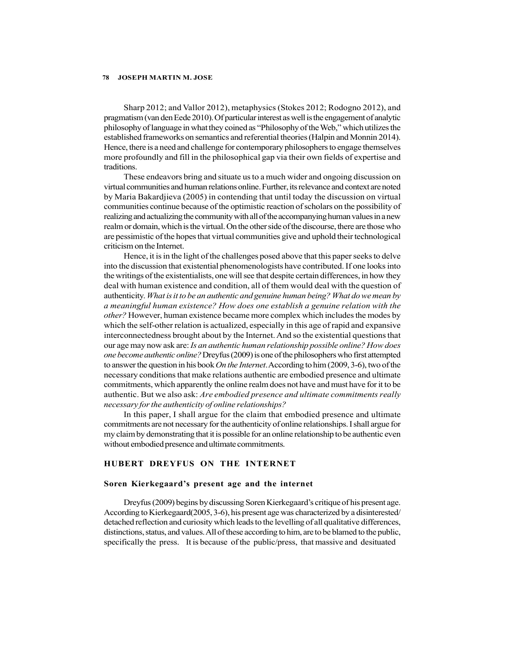Sharp 2012; and Vallor 2012), metaphysics (Stokes 2012; Rodogno 2012), and pragmatism (van den Eede 2010). Of particular interest as well is the engagement of analytic philosophy of language in what they coined as "Philosophy of the Web," which utilizes the established frameworks on semantics and referential theories (Halpin and Monnin 2014). Hence, there is a need and challenge for contemporary philosophers to engage themselves more profoundly and fill in the philosophical gap via their own fields of expertise and traditions.

These endeavors bring and situate us to a much wider and ongoing discussion on virtual communities and human relations online. Further, its relevance and context are noted by Maria Bakardjieva (2005) in contending that until today the discussion on virtual communities continue because of the optimistic reaction of scholars on the possibility of realizing and actualizing the community with all of the accompanying human values in a new realm or domain, which is the virtual. On the other side of the discourse, there are those who are pessimistic of the hopes that virtual communities give and uphold their technological criticism on the Internet.

Hence, it is in the light of the challenges posed above that this paper seeks to delve into the discussion that existential phenomenologists have contributed. If one looks into the writings of the existentialists, one will see that despite certain differences, in how they deal with human existence and condition, all of them would deal with the question of authenticity. What is it to be an authentic and genuine human being? What do we mean by a meaningful human existence? How does one establish a genuine relation with the other? However, human existence became more complex which includes the modes by which the self-other relation is actualized, especially in this age of rapid and expansive interconnectedness brought about by the Internet. And so the existential questions that our age may now ask are: Is an authentic human relationship possible online? How does one become authentic online? Dreyfus (2009) is one of the philosophers who first attempted to answer the question in his book *On the Internet*. According to him (2009, 3-6), two of the necessary conditions that make relations authentic are embodied presence and ultimate commitments, which apparently the online realm does not have and must have for it to be authentic. But we also ask: Are embodied presence and ultimate commitments really necessary for the authenticity of online relationships?

In this paper, I shall argue for the claim that embodied presence and ultimate commitments are not necessary for the authenticity of online relationships. I shall argue for my claim by demonstrating that it is possible for an online relationship to be authentic even without embodied presence and ultimate commitments.

### HUBERT DREYFUS ON THE INTERNET

#### Soren Kierkegaard's present age and the internet

Dreyfus (2009) begins by discussing Soren Kierkegaard's critique of his present age. According to Kierkegaard(2005, 3-6), his present age was characterized by a disinterested/ detached reflection and curiosity which leads to the levelling of all qualitative differences, distinctions, status, and values. All of these according to him, are to be blamed to the public, specifically the press. It is because of the public/press, that massive and desituated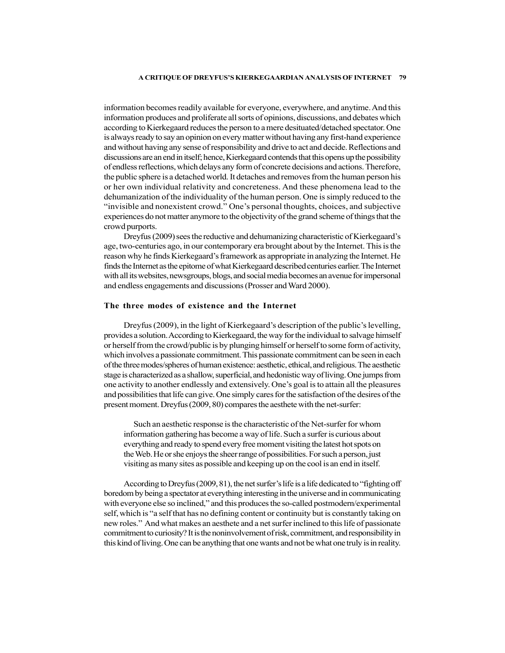information becomes readily available for everyone, everywhere, and anytime. And this information produces and proliferate all sorts of opinions, discussions, and debates which according to Kierkegaard reduces the person to a mere desituated/detached spectator. One is always ready to say an opinion on every matter without having any first-hand experience and without having any sense of responsibility and drive to act and decide. Reflections and discussions are an end in itself; hence, Kierkegaard contends that this opens up the possibility of endless reflections, which delays any form of concrete decisions and actions. Therefore, the public sphere is a detached world. It detaches and removes from the human person his or her own individual relativity and concreteness. And these phenomena lead to the dehumanization of the individuality of the human person. One is simply reduced to the "invisible and nonexistent crowd." One's personal thoughts, choices, and subjective experiences do not matter anymore to the objectivity of the grand scheme of things that the crowd purports.

Dreyfus (2009) sees the reductive and dehumanizing characteristic of Kierkegaard's age, two-centuries ago, in our contemporary era brought about by the Internet. This is the reason why he finds Kierkegaard's framework as appropriate in analyzing the Internet. He finds the Internet as the epitome of what Kierkegaard described centuries earlier. The Internet with all its websites, newsgroups, blogs, and social media becomes an avenue for impersonal and endless engagements and discussions (Prosser and Ward 2000).

#### The three modes of existence and the Internet

Dreyfus (2009), in the light of Kierkegaard's description of the public's levelling, provides a solution. According to Kierkegaard, the way for the individual to salvage himself or herself from the crowd/public is by plunging himself or herself to some form of activity, which involves a passionate commitment. This passionate commitment can be seen in each of the three modes/spheres of human existence: aesthetic, ethical, and religious. The aesthetic stage is characterized as a shallow, superficial, and hedonistic way of living. One jumps from one activity to another endlessly and extensively. One's goal is to attain all the pleasures and possibilities that life can give. One simply cares for the satisfaction of the desires of the present moment. Dreyfus (2009, 80) compares the aesthete with the net-surfer:

Such an aesthetic response is the characteristic of the Net-surfer for whom information gathering has become a way of life. Such a surfer is curious about everything and ready to spend every free moment visiting the latest hot spots on the Web. He or she enjoys the sheer range of possibilities. For such a person, just visiting as many sites as possible and keeping up on the cool is an end in itself.

According to Dreyfus (2009, 81), the net surfer's life is a life dedicated to "fighting off boredom by being a spectator at everything interesting in the universe and in communicating with everyone else so inclined," and this produces the so-called postmodern/experimental self, which is "a self that has no defining content or continuity but is constantly taking on new roles." And what makes an aesthete and a net surfer inclined to this life of passionate commitment to curiosity? It is the noninvolvement of risk, commitment, and responsibility in this kind of living. One can be anything that one wants and not be what one truly is in reality.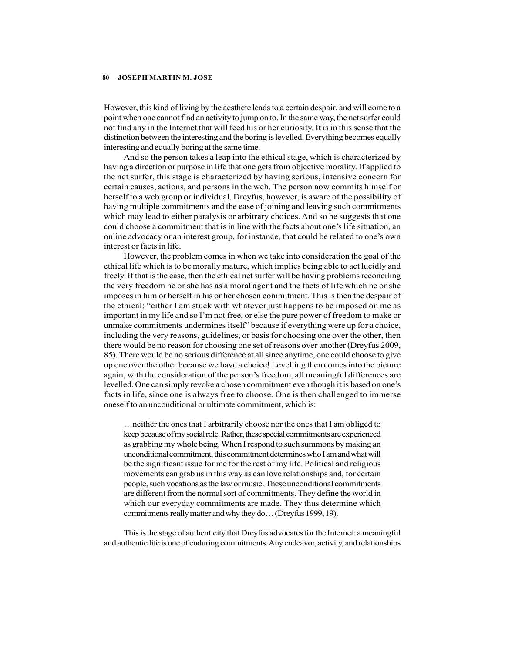However, this kind of living by the aesthete leads to a certain despair, and will come to a point when one cannot find an activity to jump on to. In the same way, the net surfer could not find any in the Internet that will feed his or her curiosity. It is in this sense that the distinction between the interesting and the boring is levelled. Everything becomes equally interesting and equally boring at the same time.

And so the person takes a leap into the ethical stage, which is characterized by having a direction or purpose in life that one gets from objective morality. If applied to the net surfer, this stage is characterized by having serious, intensive concern for certain causes, actions, and persons in the web. The person now commits himself or herself to a web group or individual. Dreyfus, however, is aware of the possibility of having multiple commitments and the ease of joining and leaving such commitments which may lead to either paralysis or arbitrary choices. And so he suggests that one could choose a commitment that is in line with the facts about one's life situation, an online advocacy or an interest group, for instance, that could be related to one's own interest or facts in life.

However, the problem comes in when we take into consideration the goal of the ethical life which is to be morally mature, which implies being able to act lucidly and freely. If that is the case, then the ethical net surfer will be having problems reconciling the very freedom he or she has as a moral agent and the facts of life which he or she imposes in him or herself in his or her chosen commitment. This is then the despair of the ethical: "either I am stuck with whatever just happens to be imposed on me as important in my life and so I'm not free, or else the pure power of freedom to make or unmake commitments undermines itself" because if everything were up for a choice, including the very reasons, guidelines, or basis for choosing one over the other, then there would be no reason for choosing one set of reasons over another (Dreyfus 2009, 85). There would be no serious difference at all since anytime, one could choose to give up one over the other because we have a choice! Levelling then comes into the picture again, with the consideration of the person's freedom, all meaningful differences are levelled. One can simply revoke a chosen commitment even though it is based on one's facts in life, since one is always free to choose. One is then challenged to immerse oneself to an unconditional or ultimate commitment, which is:

…neither the ones that I arbitrarily choose nor the ones that I am obliged to keep because of my social role. Rather, these special commitments are experienced as grabbing my whole being. When I respond to such summons by making an unconditional commitment, this commitment determines who I am and what will be the significant issue for me for the rest of my life. Political and religious movements can grab us in this way as can love relationships and, for certain people, such vocations as the law or music. These unconditional commitments are different from the normal sort of commitments. They define the world in which our everyday commitments are made. They thus determine which commitments really matter and why they do… (Dreyfus 1999, 19).

This is the stage of authenticity that Dreyfus advocates for the Internet: a meaningful and authentic life is one of enduring commitments. Any endeavor, activity, and relationships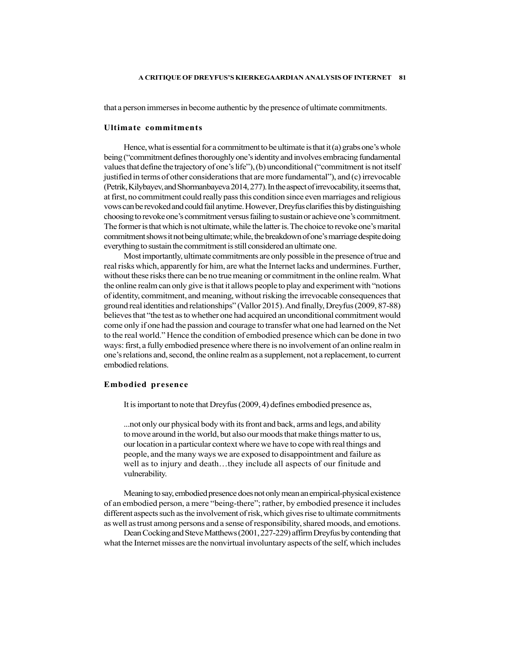that a person immerses in become authentic by the presence of ultimate commitments.

#### Ultimate commitments

Hence, what is essential for a commitment to be ultimate is that it (a) grabs one's whole being ("commitment defines thoroughly one's identity and involves embracing fundamental values that define the trajectory of one's life"), (b) unconditional ("commitment is not itself justified in terms of other considerations that are more fundamental"), and (c) irrevocable (Petrik, Kilybayev, and Shormanbayeva 2014, 277). In the aspect of irrevocability, it seems that, at first, no commitment could really pass this condition since even marriages and religious vows can be revoked and could fail anytime. However, Dreyfus clarifies this by distinguishing choosing to revoke one's commitment versus failing to sustain or achieve one's commitment. The former is that which is not ultimate, while the latter is. The choice to revoke one's marital commitment shows it not being ultimate; while, the breakdown of one's marriage despite doing everything to sustain the commitment is still considered an ultimate one.

Most importantly, ultimate commitments are only possible in the presence of true and real risks which, apparently for him, are what the Internet lacks and undermines. Further, without these risks there can be no true meaning or commitment in the online realm. What the online realm can only give is that it allows people to play and experiment with "notions of identity, commitment, and meaning, without risking the irrevocable consequences that ground real identities and relationships" (Vallor 2015). And finally, Dreyfus (2009, 87-88) believes that "the test as to whether one had acquired an unconditional commitment would come only if one had the passion and courage to transfer what one had learned on the Net to the real world." Hence the condition of embodied presence which can be done in two ways: first, a fully embodied presence where there is no involvement of an online realm in one's relations and, second, the online realm as a supplement, not a replacement, to current embodied relations.

#### Embodied presence

It is important to note that Dreyfus (2009, 4) defines embodied presence as,

...not only our physical body with its front and back, arms and legs, and ability to move around in the world, but also our moods that make things matter to us, our location in a particular context where we have to cope with real things and people, and the many ways we are exposed to disappointment and failure as well as to injury and death…they include all aspects of our finitude and vulnerability.

Meaning to say, embodied presence does not only mean an empirical-physical existence of an embodied person, a mere "being-there"; rather, by embodied presence it includes different aspects such as the involvement of risk, which gives rise to ultimate commitments as well as trust among persons and a sense of responsibility, shared moods, and emotions.

Dean Cocking and Steve Matthews (2001, 227-229) affirm Dreyfus by contending that what the Internet misses are the nonvirtual involuntary aspects of the self, which includes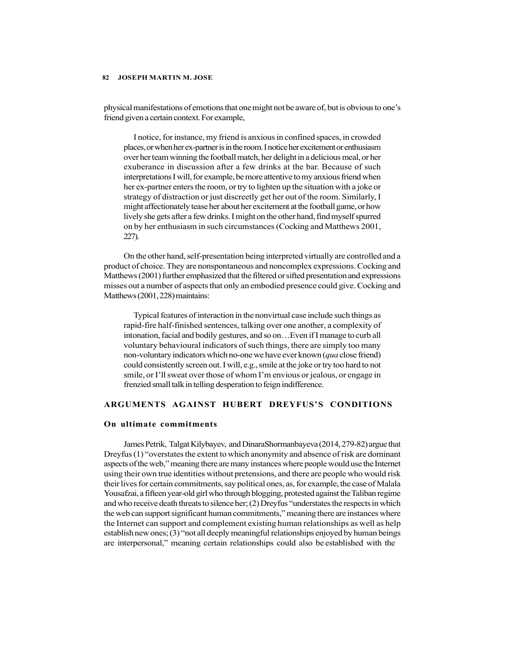physical manifestations of emotions that one might not be aware of, but is obvious to one's friend given a certain context. For example,

I notice, for instance, my friend is anxious in confined spaces, in crowded places, or when her ex-partner is in the room. I notice her excitement or enthusiasm over her team winning the football match, her delight in a delicious meal, or her exuberance in discussion after a few drinks at the bar. Because of such interpretations I will, for example, be more attentive to my anxious friend when her ex-partner enters the room, or try to lighten up the situation with a joke or strategy of distraction or just discreetly get her out of the room. Similarly, I might affectionately tease her about her excitement at the football game, or how lively she gets after a few drinks. I might on the other hand, find myself spurred on by her enthusiasm in such circumstances (Cocking and Matthews 2001, 227).

On the other hand, self-presentation being interpreted virtually are controlled and a product of choice. They are nonspontaneous and noncomplex expressions. Cocking and Matthews (2001) further emphasized that the filtered or sifted presentation and expressions misses out a number of aspects that only an embodied presence could give. Cocking and Matthews (2001, 228) maintains:

Typical features of interaction in the nonvirtual case include such things as rapid-fire half-finished sentences, talking over one another, a complexity of intonation, facial and bodily gestures, and so on…Even if I manage to curb all voluntary behavioural indicators of such things, there are simply too many non-voluntary indicators which no-one we have ever known (qua close friend) could consistently screen out. I will, e.g., smile at the joke or try too hard to not smile, or I'll sweat over those of whom I'm envious or jealous, or engage in frenzied small talk in telling desperation to feign indifference.

### ARGUMENTS AGAINST HUBERT DREYFUS'S CONDITIONS

#### On ultimate commitments

James Petrik, Talgat Kilybayev, and DinaraShormanbayeva (2014, 279-82) argue that Dreyfus (1) "overstates the extent to which anonymity and absence of risk are dominant aspects of the web," meaning there are many instances where people would use the Internet using their own true identities without pretensions, and there are people who would risk their lives for certain commitments, say political ones, as, for example, the case of Malala Yousafzai, a fifteen year-old girl who through blogging, protested against the Taliban regime and who receive death threats to silence her; (2) Dreyfus "understates the respects in which the web can support significant human commitments," meaning there are instances where the Internet can support and complement existing human relationships as well as help establish new ones; (3) "not all deeply meaningful relationships enjoyed by human beings are interpersonal," meaning certain relationships could also be established with the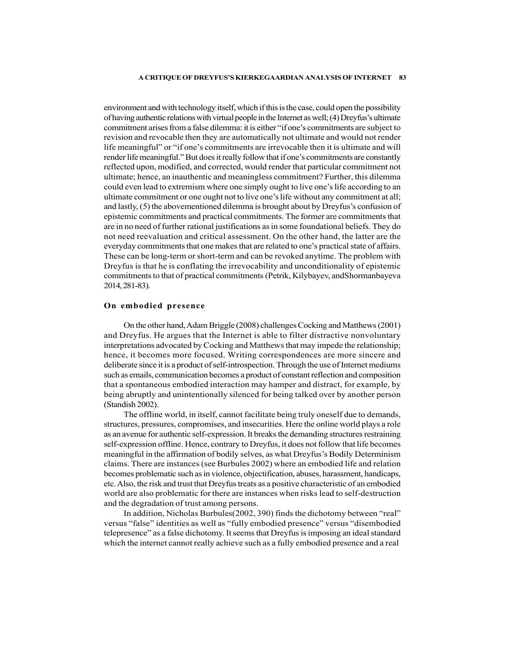environment and with technology itself, which if this is the case, could open the possibility of having authentic relations with virtual people in the Internet as well; (4) Dreyfus's ultimate commitment arises from a false dilemma: it is either "if one's commitments are subject to revision and revocable then they are automatically not ultimate and would not render life meaningful" or "if one's commitments are irrevocable then it is ultimate and will render life meaningful." But does it really follow that if one's commitments are constantly reflected upon, modified, and corrected, would render that particular commitment not ultimate; hence, an inauthentic and meaningless commitment? Further, this dilemma could even lead to extremism where one simply ought to live one's life according to an ultimate commitment or one ought not to live one's life without any commitment at all; and lastly, (5) the abovementioned dilemma is brought about by Dreyfus's confusion of epistemic commitments and practical commitments. The former are commitments that are in no need of further rational justifications as in some foundational beliefs. They do not need reevaluation and critical assessment. On the other hand, the latter are the everyday commitments that one makes that are related to one's practical state of affairs. These can be long-term or short-term and can be revoked anytime. The problem with Dreyfus is that he is conflating the irrevocability and unconditionality of epistemic commitments to that of practical commitments (Petrik, Kilybayev, andShormanbayeva 2014, 281-83).

#### On embodied presence

On the other hand, Adam Briggle (2008) challenges Cocking and Matthews (2001) and Dreyfus. He argues that the Internet is able to filter distractive nonvoluntary interpretations advocated by Cocking and Matthews that may impede the relationship; hence, it becomes more focused. Writing correspondences are more sincere and deliberate since it is a product of self-introspection. Through the use of Internet mediums such as emails, communication becomes a product of constant reflection and composition that a spontaneous embodied interaction may hamper and distract, for example, by being abruptly and unintentionally silenced for being talked over by another person (Standish 2002).

The offline world, in itself, cannot facilitate being truly oneself due to demands, structures, pressures, compromises, and insecurities. Here the online world plays a role as an avenue for authentic self-expression. It breaks the demanding structures restraining self-expression offline. Hence, contrary to Dreyfus, it does not follow that life becomes meaningful in the affirmation of bodily selves, as what Dreyfus's Bodily Determinism claims. There are instances (see Burbules 2002) where an embodied life and relation becomes problematic such as in violence, objectification, abuses, harassment, handicaps, etc. Also, the risk and trust that Dreyfus treats as a positive characteristic of an embodied world are also problematic for there are instances when risks lead to self-destruction and the degradation of trust among persons.

In addition, Nicholas Burbules(2002, 390) finds the dichotomy between "real" versus "false" identities as well as "fully embodied presence" versus "disembodied telepresence" as a false dichotomy. It seems that Dreyfus is imposing an ideal standard which the internet cannot really achieve such as a fully embodied presence and a real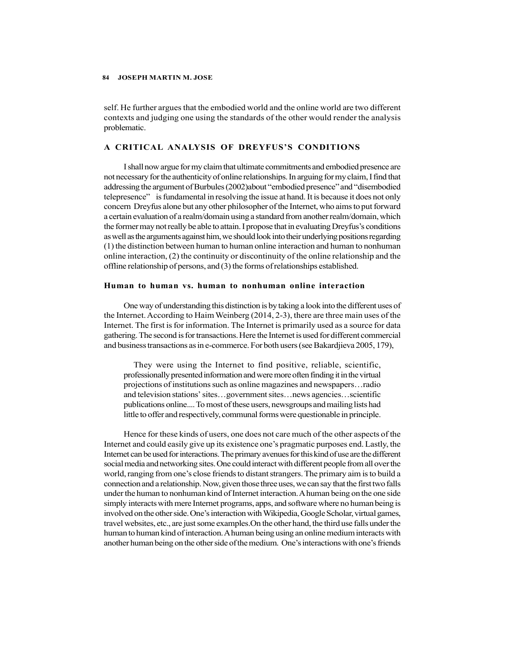self. He further argues that the embodied world and the online world are two different contexts and judging one using the standards of the other would render the analysis problematic.

#### A CRITICAL ANALYSIS OF DREYFUS'S CONDITIONS

I shall now argue for my claim that ultimate commitments and embodied presence are not necessary for the authenticity of online relationships. In arguing for my claim, I find that addressing the argument of Burbules (2002)about "embodied presence" and "disembodied telepresence" is fundamental in resolving the issue at hand. It is because it does not only concern Dreyfus alone but any other philosopher of the Internet, who aims to put forward a certain evaluation of a realm/domain using a standard from another realm/domain, which the former may not really be able to attain. I propose that in evaluating Dreyfus's conditions as well as the arguments against him, we should look into their underlying positions regarding (1) the distinction between human to human online interaction and human to nonhuman online interaction, (2) the continuity or discontinuity of the online relationship and the offline relationship of persons, and (3) the forms of relationships established.

#### Human to human vs. human to nonhuman online interaction

One way of understanding this distinction is by taking a look into the different uses of the Internet. According to Haim Weinberg (2014, 2-3), there are three main uses of the Internet. The first is for information. The Internet is primarily used as a source for data gathering. The second is for transactions. Here the Internet is used for different commercial and business transactions as in e-commerce. For both users (see Bakardjieva 2005, 179),

They were using the Internet to find positive, reliable, scientific, professionally presented information and were more often finding it in the virtual projections of institutions such as online magazines and newspapers…radio and television stations' sites…government sites…news agencies…scientific publications online.... To most of these users, newsgroups and mailing lists had little to offer and respectively, communal forms were questionable in principle.

Hence for these kinds of users, one does not care much of the other aspects of the Internet and could easily give up its existence one's pragmatic purposes end. Lastly, the Internet can be used for interactions. The primary avenues for this kind of use are the different social media and networking sites. One could interact with different people from all over the world, ranging from one's close friends to distant strangers. The primary aim is to build a connection and a relationship. Now, given those three uses, we can say that the first two falls under the human to nonhuman kind of Internet interaction. A human being on the one side simply interacts with mere Internet programs, apps, and software where no human being is involved on the other side. One's interaction with Wikipedia, Google Scholar, virtual games, travel websites, etc., are just some examples.On the other hand, the third use falls under the human to human kind of interaction. A human being using an online medium interacts with another human being on the other side of the medium. One's interactions with one's friends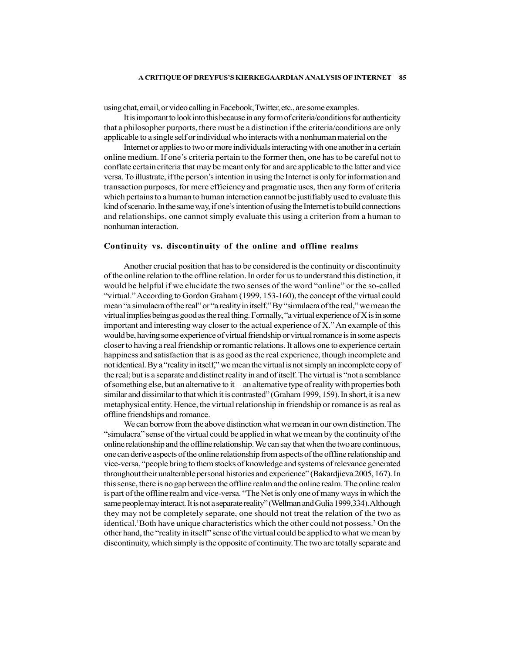using chat, email, or video calling in Facebook, Twitter, etc., are some examples.

It is important to look into this because in any form of criteria/conditions for authenticity that a philosopher purports, there must be a distinction if the criteria/conditions are only applicable to a single self or individual who interacts with a nonhuman material on the

Internet or applies to two or more individuals interacting with one another in a certain online medium. If one's criteria pertain to the former then, one has to be careful not to conflate certain criteria that may be meant only for and are applicable to the latter and vice versa. To illustrate, if the person's intention in using the Internet is only for information and transaction purposes, for mere efficiency and pragmatic uses, then any form of criteria which pertains to a human to human interaction cannot be justifiably used to evaluate this kind of scenario. In the same way, if one's intention of using the Internet is to build connections and relationships, one cannot simply evaluate this using a criterion from a human to nonhuman interaction.

#### Continuity vs. discontinuity of the online and offline realms

Another crucial position that has to be considered is the continuity or discontinuity of the online relation to the offline relation. In order for us to understand this distinction, it would be helpful if we elucidate the two senses of the word "online" or the so-called "virtual." According to Gordon Graham (1999, 153-160), the concept of the virtual could mean "a simulacra of the real" or "a reality in itself." By "simulacra of the real," we mean the virtual implies being as good as the real thing. Formally, "a virtual experience of X is in some important and interesting way closer to the actual experience of X." An example of this would be, having some experience of virtual friendship or virtual romance is in some aspects closer to having a real friendship or romantic relations. It allows one to experience certain happiness and satisfaction that is as good as the real experience, though incomplete and not identical. By a "reality in itself," we mean the virtual is not simply an incomplete copy of the real; but is a separate and distinct reality in and of itself. The virtual is "not a semblance of something else, but an alternative to it—an alternative type of reality with properties both similar and dissimilar to that which it is contrasted" (Graham 1999, 159). In short, it is a new metaphysical entity. Hence, the virtual relationship in friendship or romance is as real as offline friendships and romance.

We can borrow from the above distinction what we mean in our own distinction. The "simulacra" sense of the virtual could be applied in what we mean by the continuity of the online relationship and the offline relationship. We can say that when the two are continuous, one can derive aspects of the online relationship from aspects of the offline relationship and vice-versa, "people bring to them stocks of knowledge and systems of relevance generated throughout their unalterable personal histories and experience" (Bakardjieva 2005, 167). In this sense, there is no gap between the offline realm and the online realm. The online realm is part of the offline realm and vice-versa. "The Net is only one of many ways in which the same people may interact. It is not a separate reality" (Wellman and Gulia 1999,334). Although they may not be completely separate, one should not treat the relation of the two as identical.<sup>1</sup>Both have unique characteristics which the other could not possess.<sup>2</sup> On the other hand, the "reality in itself" sense of the virtual could be applied to what we mean by discontinuity, which simply is the opposite of continuity. The two are totally separate and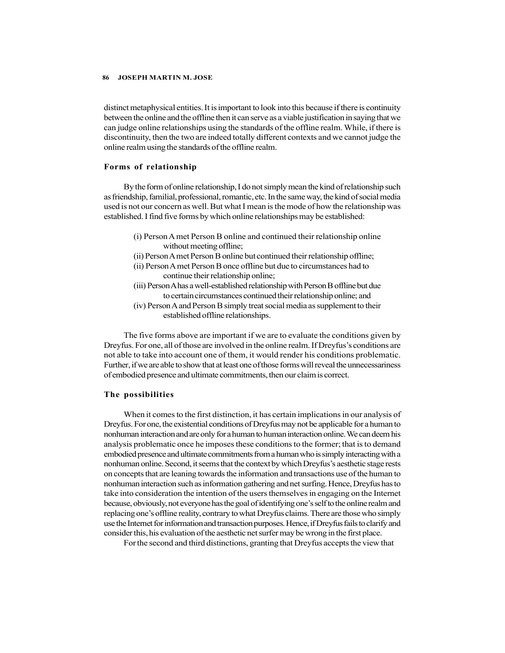distinct metaphysical entities. It is important to look into this because if there is continuity between the online and the offline then it can serve as a viable justification in saying that we can judge online relationships using the standards of the offline realm. While, if there is discontinuity, then the two are indeed totally different contexts and we cannot judge the online realm using the standards of the offline realm.

#### Forms of relationship

By the form of online relationship, I do not simply mean the kind of relationship such as friendship, familial, professional, romantic, etc. In the same way, the kind of social media used is not our concern as well. But what I mean is the mode of how the relationship was established. I find five forms by which online relationships may be established:

- (i) Person A met Person B online and continued their relationship online without meeting offline;
- (ii) Person A met Person B online but continued their relationship offline;
- (ii) Person A met Person B once offline but due to circumstances had to continue their relationship online;
- (iii) Person A has a well-established relationship with Person B offline but due to certain circumstances continued their relationship online; and
- (iv) Person A and Person B simply treat social media as supplement to their established offline relationships.

The five forms above are important if we are to evaluate the conditions given by Dreyfus. For one, all of those are involved in the online realm. If Dreyfus's conditions are not able to take into account one of them, it would render his conditions problematic. Further, if we are able to show that at least one of those forms will reveal the unnecessariness of embodied presence and ultimate commitments, then our claim is correct.

#### The possibilities

When it comes to the first distinction, it has certain implications in our analysis of Dreyfus. For one, the existential conditions of Dreyfus may not be applicable for a human to nonhuman interaction and are only for a human to human interaction online. We can deem his analysis problematic once he imposes these conditions to the former; that is to demand embodied presence and ultimate commitments from a human who is simply interacting with a nonhuman online. Second, it seems that the context by which Dreyfus's aesthetic stage rests on concepts that are leaning towards the information and transactions use of the human to nonhuman interaction such as information gathering and net surfing. Hence, Dreyfus has to take into consideration the intention of the users themselves in engaging on the Internet because, obviously, not everyone has the goal of identifying one's self to the online realm and replacing one's offline reality, contrary to what Dreyfus claims. There are those who simply use the Internet for information and transaction purposes. Hence, if Dreyfus fails to clarify and consider this, his evaluation of the aesthetic net surfer may be wrong in the first place.

For the second and third distinctions, granting that Dreyfus accepts the view that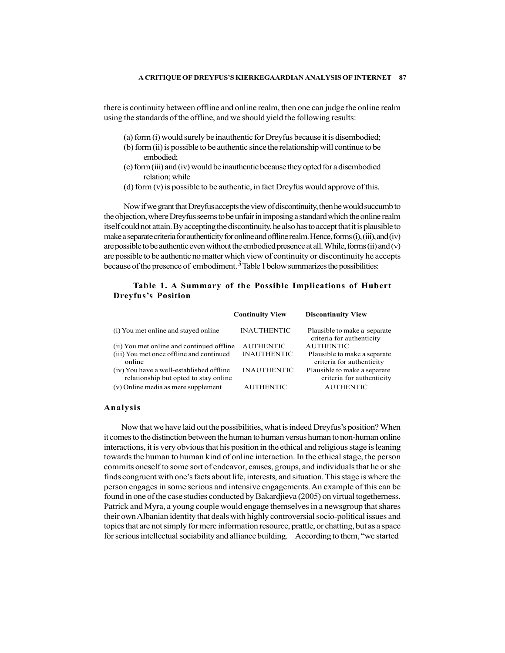there is continuity between offline and online realm, then one can judge the online realm using the standards of the offline, and we should yield the following results:

- (a) form (i) would surely be inauthentic for Dreyfus because it is disembodied;
- (b) form (ii) is possible to be authentic since the relationship will continue to be embodied;
- (c) form (iii) and (iv) would be inauthentic because they opted for a disembodied relation; while
- (d) form  $(v)$  is possible to be authentic, in fact Dreyfus would approve of this.

### Table 1. A Summary of the Possible Implications of Hubert Dreyfus's Position

| (a) form (i) would surely be inauthentic for Dreyfus because it is disembodied;                                                                                              |                        |                                                           |  |
|------------------------------------------------------------------------------------------------------------------------------------------------------------------------------|------------------------|-----------------------------------------------------------|--|
| (b) form (ii) is possible to be authentic since the relationship will continue to be                                                                                         |                        |                                                           |  |
| embodied;                                                                                                                                                                    |                        |                                                           |  |
| (c) form (iii) and (iv) would be inauthentic because they opted for a disembodied<br>relation; while                                                                         |                        |                                                           |  |
| (d) form $(v)$ is possible to be authentic, in fact Dreyfus would approve of this.                                                                                           |                        |                                                           |  |
| Now if we grant that Dreyfus accepts the view of discontinuity, then he would succumb to                                                                                     |                        |                                                           |  |
| e objection, where Dreyfus seems to be unfair in imposing a standard which the online realm                                                                                  |                        |                                                           |  |
| elf could not attain. By accepting the discontinuity, he also has to accept that it is plausible to                                                                          |                        |                                                           |  |
| ake a separate criteria for authenticity for online and offline realm. Hence, forms (i), (iii), and (iv)                                                                     |                        |                                                           |  |
| e possible to be authentic even without the embodied presence at all. While, forms (ii) and (v)                                                                              |                        |                                                           |  |
|                                                                                                                                                                              |                        |                                                           |  |
|                                                                                                                                                                              |                        |                                                           |  |
| e possible to be authentic no matter which view of continuity or discontinuity he accepts                                                                                    |                        |                                                           |  |
| cause of the presence of embodiment. <sup>3</sup> Table 1 below summarizes the possibilities:                                                                                |                        |                                                           |  |
|                                                                                                                                                                              |                        |                                                           |  |
| Table 1. A Summary of the Possible Implications of Hubert<br><b>Dreyfus's Position</b>                                                                                       |                        |                                                           |  |
|                                                                                                                                                                              |                        |                                                           |  |
|                                                                                                                                                                              | <b>Continuity View</b> | <b>Discontinuity View</b>                                 |  |
| (i) You met online and stayed online                                                                                                                                         | <b>INAUTHENTIC</b>     | Plausible to make a separate<br>criteria for authenticity |  |
| (ii) You met online and continued offline                                                                                                                                    | <b>AUTHENTIC</b>       | <b>AUTHENTIC</b>                                          |  |
| (iii) You met once offline and continued<br>online                                                                                                                           | <b>INAUTHENTIC</b>     | Plausible to make a separate<br>criteria for authenticity |  |
| (iv) You have a well-established offline<br>relationship but opted to stay online                                                                                            | <b>INAUTHENTIC</b>     | Plausible to make a separate<br>criteria for authenticity |  |
| (v) Online media as mere supplement                                                                                                                                          | <b>AUTHENTIC</b>       | <b>AUTHENTIC</b>                                          |  |
| nalysis                                                                                                                                                                      |                        |                                                           |  |
|                                                                                                                                                                              |                        |                                                           |  |
| Now that we have laid out the possibilities, what is indeed Dreyfus's position? When<br>comes to the distinction between the human to human versus human to non-human online |                        |                                                           |  |

#### Analysis

 Now that we have laid out the possibilities, what is indeed Dreyfus's position? When it comes to the distinction between the human to human versus human to non-human online interactions, it is very obvious that his position in the ethical and religious stage is leaning towards the human to human kind of online interaction. In the ethical stage, the person commits oneself to some sort of endeavor, causes, groups, and individuals that he or she finds congruent with one's facts about life, interests, and situation. This stage is where the person engages in some serious and intensive engagements. An example of this can be found in one of the case studies conducted by Bakardjieva (2005) on virtual togetherness. Patrick and Myra, a young couple would engage themselves in a newsgroup that shares their own Albanian identity that deals with highly controversial socio-political issues and topics that are not simply for mere information resource, prattle, or chatting, but as a space for serious intellectual sociability and alliance building. According to them, "we started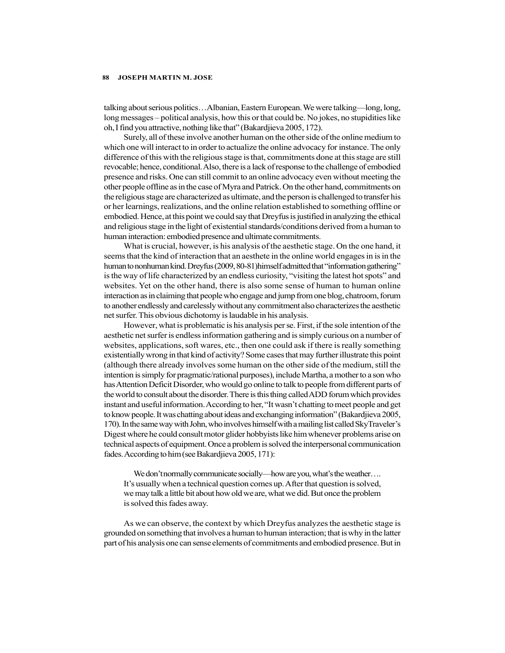talking about serious politics…Albanian, Eastern European. We were talking—long, long, long messages – political analysis, how this or that could be. No jokes, no stupidities like oh, I find you attractive, nothing like that" (Bakardjieva 2005, 172).

Surely, all of these involve another human on the other side of the online medium to which one will interact to in order to actualize the online advocacy for instance. The only difference of this with the religious stage is that, commitments done at this stage are still revocable; hence, conditional. Also, there is a lack of response to the challenge of embodied presence and risks. One can still commit to an online advocacy even without meeting the other people offline as in the case of Myra and Patrick. On the other hand, commitments on the religious stage are characterized as ultimate, and the person is challenged to transfer his or her learnings, realizations, and the online relation established to something offline or embodied. Hence, at this point we could say that Dreyfus is justified in analyzing the ethical and religious stage in the light of existential standards/conditions derived from a human to human interaction: embodied presence and ultimate commitments.

What is crucial, however, is his analysis of the aesthetic stage. On the one hand, it seems that the kind of interaction that an aesthete in the online world engages in is in the human to nonhuman kind. Dreyfus (2009, 80-81)himself admitted that "information gathering" is the way of life characterized by an endless curiosity, "visiting the latest hot spots" and websites. Yet on the other hand, there is also some sense of human to human online interaction as in claiming that people who engage and jump from one blog, chatroom, forum to another endlessly and carelessly without any commitment also characterizes the aesthetic net surfer. This obvious dichotomy is laudable in his analysis.

However, what is problematic is his analysis per se. First, if the sole intention of the aesthetic net surfer is endless information gathering and is simply curious on a number of websites, applications, soft wares, etc., then one could ask if there is really something existentially wrong in that kind of activity? Some cases that may further illustrate this point (although there already involves some human on the other side of the medium, still the intention is simply for pragmatic/rational purposes), include Martha, a mother to a son who has Attention Deficit Disorder, who would go online to talk to people from different parts of the world to consult about the disorder. There is this thing called ADD forum which provides instant and useful information. According to her, "It wasn't chatting to meet people and get to know people. It was chatting about ideas and exchanging information" (Bakardjieva 2005, 170). In the same way with John, who involves himself with a mailing list called SkyTraveler's Digest where he could consult motor glider hobbyists like him whenever problems arise on technical aspects of equipment. Once a problem is solved the interpersonal communication fades. According to him (see Bakardjieva 2005, 171):

We don't normally communicate socially—how are you, what's the weather…. It's usually when a technical question comes up. After that question is solved, we may talk a little bit about how old we are, what we did. But once the problem is solved this fades away.

As we can observe, the context by which Dreyfus analyzes the aesthetic stage is grounded on something that involves a human to human interaction; that is why in the latter part of his analysis one can sense elements of commitments and embodied presence. But in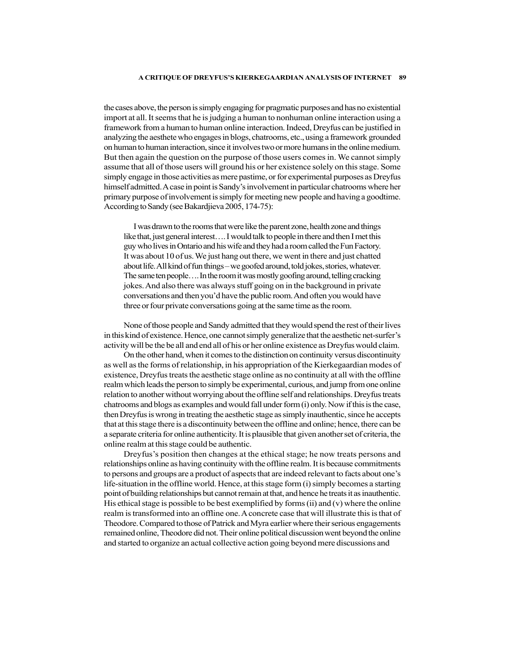the cases above, the person is simply engaging for pragmatic purposes and has no existential import at all. It seems that he is judging a human to nonhuman online interaction using a framework from a human to human online interaction. Indeed, Dreyfus can be justified in analyzing the aesthete who engages in blogs, chatrooms, etc., using a framework grounded on human to human interaction, since it involves two or more humans in the online medium. But then again the question on the purpose of those users comes in. We cannot simply assume that all of those users will ground his or her existence solely on this stage. Some simply engage in those activities as mere pastime, or for experimental purposes as Dreyfus himself admitted. A case in point is Sandy's involvement in particular chatrooms where her primary purpose of involvement is simply for meeting new people and having a goodtime. According to Sandy (see Bakardjieva 2005, 174-75):

I was drawn to the rooms that were like the parent zone, health zone and things like that, just general interest…. I would talk to people in there and then I met this guy who lives in Ontario and his wife and they had a room called the Fun Factory. It was about 10 of us. We just hang out there, we went in there and just chatted about life. All kind of fun things – we goofed around, told jokes, stories, whatever. The same ten people…. In the room it was mostly goofing around, telling cracking jokes. And also there was always stuff going on in the background in private conversations and then you'd have the public room. And often you would have three or four private conversations going at the same time as the room.

None of those people and Sandy admitted that they would spend the rest of their lives in this kind of existence. Hence, one cannot simply generalize that the aesthetic net-surfer's activity will be the be all and end all of his or her online existence as Dreyfus would claim.

On the other hand, when it comes to the distinction on continuity versus discontinuity as well as the forms of relationship, in his appropriation of the Kierkegaardian modes of existence, Dreyfus treats the aesthetic stage online as no continuity at all with the offline realm which leads the person to simply be experimental, curious, and jump from one online relation to another without worrying about the offline self and relationships. Dreyfus treats chatrooms and blogs as examples and would fall under form (i) only. Now if this is the case, then Dreyfus is wrong in treating the aesthetic stage as simply inauthentic, since he accepts that at this stage there is a discontinuity between the offline and online; hence, there can be a separate criteria for online authenticity. It is plausible that given another set of criteria, the online realm at this stage could be authentic.

Dreyfus's position then changes at the ethical stage; he now treats persons and relationships online as having continuity with the offline realm. It is because commitments to persons and groups are a product of aspects that are indeed relevant to facts about one's life-situation in the offline world. Hence, at this stage form (i) simply becomes a starting point of building relationships but cannot remain at that, and hence he treats it as inauthentic. His ethical stage is possible to be best exemplified by forms  $(ii)$  and  $(v)$  where the online realm is transformed into an offline one. A concrete case that will illustrate this is that of Theodore. Compared to those of Patrick and Myra earlier where their serious engagements remained online, Theodore did not. Their online political discussion went beyond the online and started to organize an actual collective action going beyond mere discussions and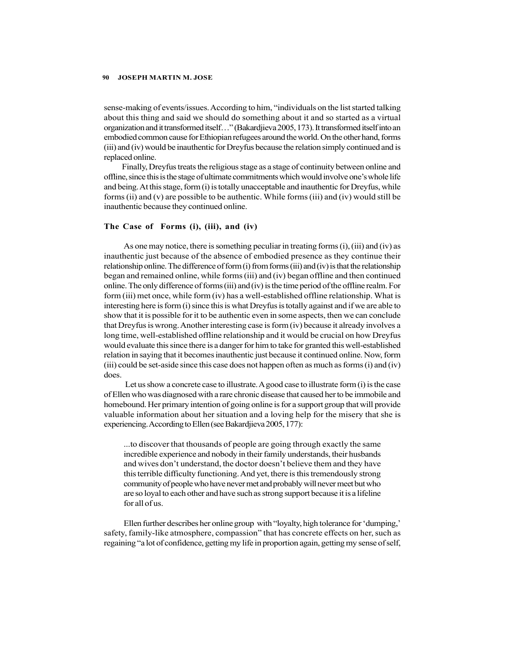sense-making of events/issues. According to him, "individuals on the list started talking about this thing and said we should do something about it and so started as a virtual organization and it transformed itself…" (Bakardjieva 2005, 173). It transformed itself into an embodied common cause for Ethiopian refugees around the world. On the other hand, forms (iii) and (iv) would be inauthentic for Dreyfus because the relation simply continued and is replaced online.

Finally, Dreyfus treats the religious stage as a stage of continuity between online and offline, since this is the stage of ultimate commitments which would involve one's whole life and being. At this stage, form (i) is totally unacceptable and inauthentic for Dreyfus, while forms (ii) and (v) are possible to be authentic. While forms (iii) and (iv) would still be inauthentic because they continued online.

#### The Case of Forms (i), (iii), and (iv)

As one may notice, there is something peculiar in treating forms (i), (iii) and (iv) as inauthentic just because of the absence of embodied presence as they continue their relationship online. The difference of form  $(i)$  from forms  $(iii)$  and  $(iv)$  is that the relationship began and remained online, while forms (iii) and (iv) began offline and then continued online. The only difference of forms (iii) and (iv) is the time period of the offline realm. For form (iii) met once, while form (iv) has a well-established offline relationship. What is interesting here is form (i) since this is what Dreyfus is totally against and if we are able to show that it is possible for it to be authentic even in some aspects, then we can conclude that Dreyfus is wrong. Another interesting case is form (iv) because it already involves a long time, well-established offline relationship and it would be crucial on how Dreyfus would evaluate this since there is a danger for him to take for granted this well-established relation in saying that it becomes inauthentic just because it continued online. Now, form (iii) could be set-aside since this case does not happen often as much as forms (i) and (iv) does.

 Let us show a concrete case to illustrate. A good case to illustrate form (i) is the case of Ellen who was diagnosed with a rare chronic disease that caused her to be immobile and homebound. Her primary intention of going online is for a support group that will provide valuable information about her situation and a loving help for the misery that she is experiencing. According to Ellen (see Bakardjieva 2005, 177):

...to discover that thousands of people are going through exactly the same incredible experience and nobody in their family understands, their husbands and wives don't understand, the doctor doesn't believe them and they have this terrible difficulty functioning. And yet, there is this tremendously strong community of people who have never met and probably will never meet but who are so loyal to each other and have such as strong support because it is a lifeline for all of us.

Ellen further describes her online group with "loyalty, high tolerance for 'dumping,' safety, family-like atmosphere, compassion" that has concrete effects on her, such as regaining "a lot of confidence, getting my life in proportion again, getting my sense of self,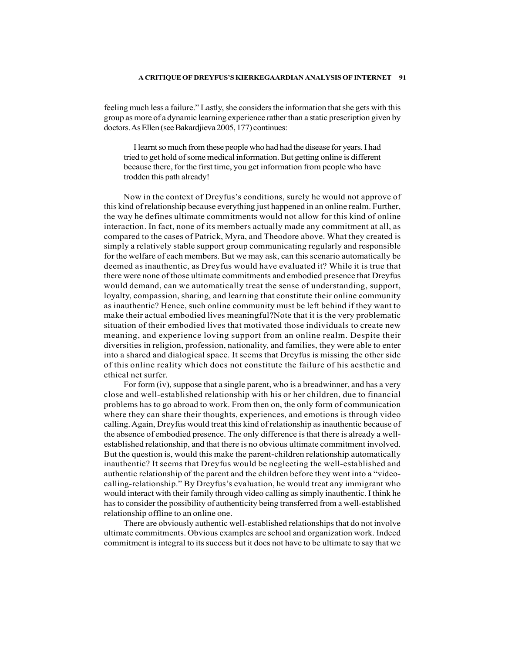feeling much less a failure." Lastly, she considers the information that she gets with this group as more of a dynamic learning experience rather than a static prescription given by doctors. As Ellen (see Bakardjieva 2005, 177) continues:

I learnt so much from these people who had had the disease for years. I had tried to get hold of some medical information. But getting online is different because there, for the first time, you get information from people who have trodden this path already!

Now in the context of Dreyfus's conditions, surely he would not approve of this kind of relationship because everything just happened in an online realm. Further, the way he defines ultimate commitments would not allow for this kind of online interaction. In fact, none of its members actually made any commitment at all, as compared to the cases of Patrick, Myra, and Theodore above. What they created is simply a relatively stable support group communicating regularly and responsible for the welfare of each members. But we may ask, can this scenario automatically be deemed as inauthentic, as Dreyfus would have evaluated it? While it is true that there were none of those ultimate commitments and embodied presence that Dreyfus would demand, can we automatically treat the sense of understanding, support, loyalty, compassion, sharing, and learning that constitute their online community as inauthentic? Hence, such online community must be left behind if they want to make their actual embodied lives meaningful?Note that it is the very problematic situation of their embodied lives that motivated those individuals to create new meaning, and experience loving support from an online realm. Despite their diversities in religion, profession, nationality, and families, they were able to enter into a shared and dialogical space. It seems that Dreyfus is missing the other side of this online reality which does not constitute the failure of his aesthetic and ethical net surfer.

For form (iv), suppose that a single parent, who is a breadwinner, and has a very close and well-established relationship with his or her children, due to financial problems has to go abroad to work. From then on, the only form of communication where they can share their thoughts, experiences, and emotions is through video calling. Again, Dreyfus would treat this kind of relationship as inauthentic because of the absence of embodied presence. The only difference is that there is already a wellestablished relationship, and that there is no obvious ultimate commitment involved. But the question is, would this make the parent-children relationship automatically inauthentic? It seems that Dreyfus would be neglecting the well-established and authentic relationship of the parent and the children before they went into a "videocalling-relationship." By Dreyfus's evaluation, he would treat any immigrant who would interact with their family through video calling as simply inauthentic. I think he has to consider the possibility of authenticity being transferred from a well-established relationship offline to an online one.

There are obviously authentic well-established relationships that do not involve ultimate commitments. Obvious examples are school and organization work. Indeed commitment is integral to its success but it does not have to be ultimate to say that we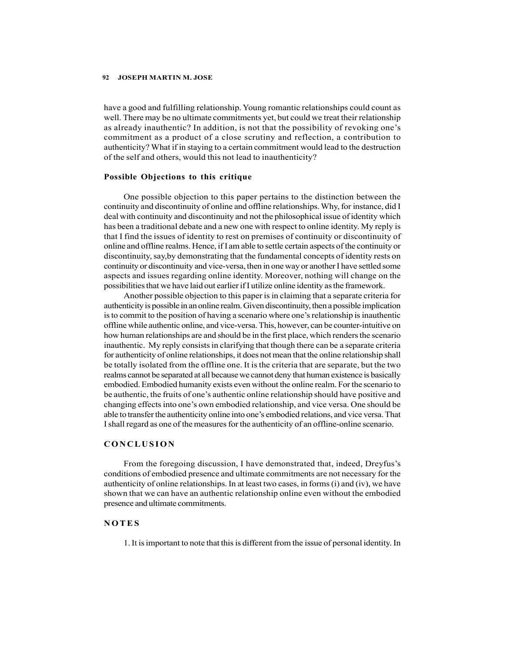have a good and fulfilling relationship. Young romantic relationships could count as well. There may be no ultimate commitments yet, but could we treat their relationship as already inauthentic? In addition, is not that the possibility of revoking one's commitment as a product of a close scrutiny and reflection, a contribution to authenticity? What if in staying to a certain commitment would lead to the destruction of the self and others, would this not lead to inauthenticity?

### Possible Objections to this critique

One possible objection to this paper pertains to the distinction between the continuity and discontinuity of online and offline relationships. Why, for instance, did I deal with continuity and discontinuity and not the philosophical issue of identity which has been a traditional debate and a new one with respect to online identity. My reply is that I find the issues of identity to rest on premises of continuity or discontinuity of online and offline realms. Hence, if I am able to settle certain aspects of the continuity or discontinuity, say,by demonstrating that the fundamental concepts of identity rests on continuity or discontinuity and vice-versa, then in one way or another I have settled some aspects and issues regarding online identity. Moreover, nothing will change on the possibilities that we have laid out earlier if I utilize online identity as the framework.

Another possible objection to this paper is in claiming that a separate criteria for authenticity is possible in an online realm. Given discontinuity, then a possible implication is to commit to the position of having a scenario where one's relationship is inauthentic offline while authentic online, and vice-versa. This, however, can be counter-intuitive on how human relationships are and should be in the first place, which renders the scenario inauthentic. My reply consists in clarifying that though there can be a separate criteria for authenticity of online relationships, it does not mean that the online relationship shall be totally isolated from the offline one. It is the criteria that are separate, but the two realms cannot be separated at all because we cannot deny that human existence is basically embodied. Embodied humanity exists even without the online realm. For the scenario to be authentic, the fruits of one's authentic online relationship should have positive and changing effects into one's own embodied relationship, and vice versa. One should be able to transfer the authenticity online into one's embodied relations, and vice versa. That I shall regard as one of the measures for the authenticity of an offline-online scenario. that I find the issues of identity to rest on premises of continuity or discontinuity of online and offline realms. Hence, if I am able to settle certain aspects of the continuity or oliscontinuity, say,by demonstrating th is to commit to the position of having a scenario where one's relationship is inauthentic<br>offline while authentic online, and vice-versa. This, however, can be counter-intuitive on<br>how human relationships are and should b

From the foregoing discussion, I have demonstrated that, indeed, Dreyfus's conditions of embodied presence and ultimate commitments are not necessary for the authenticity of online relationships. In at least two cases, in forms (i) and (iv), we have shown that we can have an authentic relationship online even without the embodied presence and ultimate commitments.

1. It is important to note that this is different from the issue of personal identity. In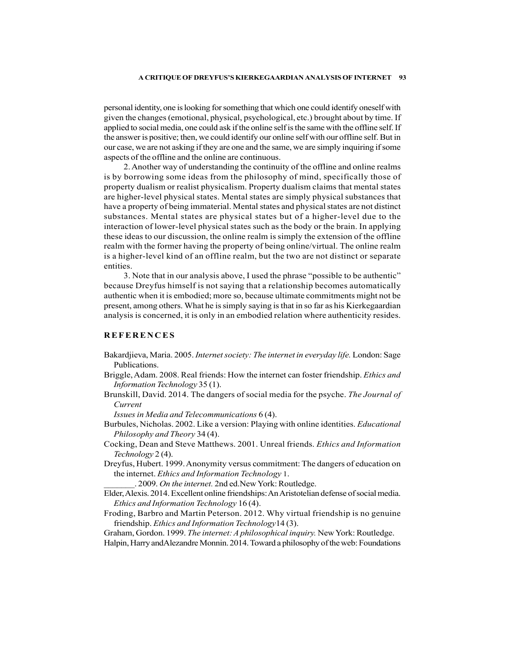personal identity, one is looking for something that which one could identify oneself with given the changes (emotional, physical, psychological, etc.) brought about by time. If applied to social media, one could ask if the online self is the same with the offline self. If the answer is positive; then, we could identify our online self with our offline self. But in our case, we are not asking if they are one and the same, we are simply inquiring if some aspects of the offline and the online are continuous.

2. Another way of understanding the continuity of the offline and online realms is by borrowing some ideas from the philosophy of mind, specifically those of property dualism or realist physicalism. Property dualism claims that mental states are higher-level physical states. Mental states are simply physical substances that have a property of being immaterial. Mental states and physical states are not distinct substances. Mental states are physical states but of a higher-level due to the interaction of lower-level physical states such as the body or the brain. In applying these ideas to our discussion, the online realm is simply the extension of the offline realm with the former having the property of being online/virtual. The online realm is a higher-level kind of an offline realm, but the two are not distinct or separate entities. spplied to social media, one could ask if the online self is the same with the offline self. If the answer is positive; then, we could dentify our online self is the same with the offline self. If the answer is positive; t

3. Note that in our analysis above, I used the phrase "possible to be authentic" because Dreyfus himself is not saying that a relationship becomes automatically authentic when it is embodied; more so, because ultimate commitments might not be present, among others. What he is simply saying is that in so far as his Kierkegaardian analysis is concerned, it is only in an embodied relation where authenticity resides.

- Bakardjieva, Maria. 2005. Internet society: The internet in everyday life. London: Sage Publications.
- Briggle, Adam. 2008. Real friends: How the internet can foster friendship. Ethics and Information Technology 35 (1).
- Brunskill, David. 2014. The dangers of social media for the psyche. The Journal of Current

Issues in Media and Telecommunications 6 (4).

- Burbules, Nicholas. 2002. Like a version: Playing with online identities. Educational Philosophy and Theory 34 (4).
- Cocking, Dean and Steve Matthews. 2001. Unreal friends. Ethics and Information Technology 2 (4).
- Dreyfus, Hubert. 1999. Anonymity versus commitment: The dangers of education on the internet. Ethics and Information Technology 1.

. 2009. On the internet. 2nd ed.New York: Routledge.

- Elder, Alexis. 2014. Excellent online friendships: An Aristotelian defense of social media. Ethics and Information Technology 16 (4).
- Froding, Barbro and Martin Peterson. 2012. Why virtual friendship is no genuine friendship. Ethics and Information Technology14 (3).

Graham, Gordon. 1999. The internet: A philosophical inquiry. New York: Routledge.

Halpin, Harry andAlezandre Monnin. 2014. Toward a philosophy of the web: Foundations